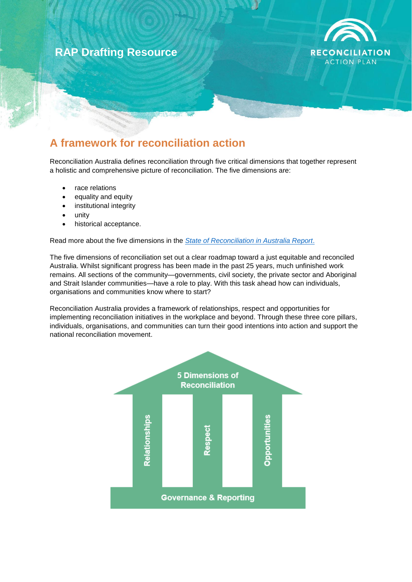# **RAP Drafting Resource**



## **A framework for reconciliation action**

Reconciliation Australia defines reconciliation through five critical dimensions that together represent a holistic and comprehensive picture of reconciliation. The five dimensions are:

- race relations
- equality and equity
- institutional integrity
- unity
- historical acceptance.

Read more about the five dimensions in the *[State of Reconciliation in Australia Report](https://www.reconciliation.org.au/wp-content/uploads/2017/11/State-of-Reconciliation-Report_SUMMARY.pdf)*.

The five dimensions of reconciliation set out a clear roadmap toward a just equitable and reconciled Australia. Whilst significant progress has been made in the past 25 years, much unfinished work remains. All sections of the community—governments, civil society, the private sector and Aboriginal and Strait Islander communities—have a role to play. With this task ahead how can individuals, organisations and communities know where to start?

Reconciliation Australia provides a framework of relationships, respect and opportunities for implementing reconciliation initiatives in the workplace and beyond. Through these three core pillars, individuals, organisations, and communities can turn their good intentions into action and support the national reconciliation movement.